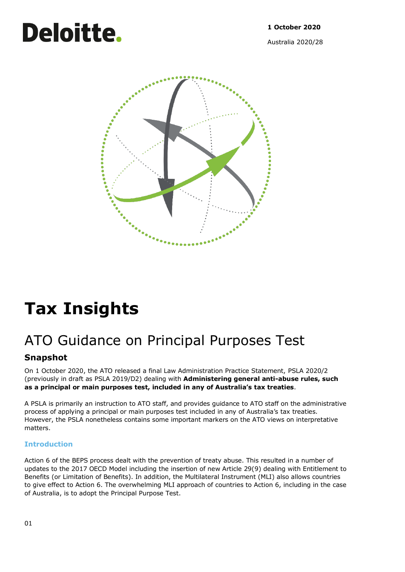# **Deloitte.**

Australia 2020/28



## **Tax Insights**

## ATO Guidance on Principal Purposes Test

## **Snapshot**

On 1 October 2020, the ATO released a final Law Administration Practice Statement, PSLA 2020/2 (previously in draft as PSLA 2019/D2) dealing with **Administering general anti-abuse rules, such as a principal or main purposes test, included in any of Australia's tax treaties**.

A PSLA is primarily an instruction to ATO staff, and provides guidance to ATO staff on the administrative process of applying a principal or main purposes test included in any of Australia's tax treaties. However, the PSLA nonetheless contains some important markers on the ATO views on interpretative matters.

### **Introduction**

Action 6 of the BEPS process dealt with the prevention of treaty abuse. This resulted in a number of updates to the 2017 OECD Model including the insertion of new Article 29(9) dealing with Entitlement to Benefits (or Limitation of Benefits). In addition, the Multilateral Instrument (MLI) also allows countries to give effect to Action 6. The overwhelming MLI approach of countries to Action 6, including in the case of Australia, is to adopt the Principal Purpose Test.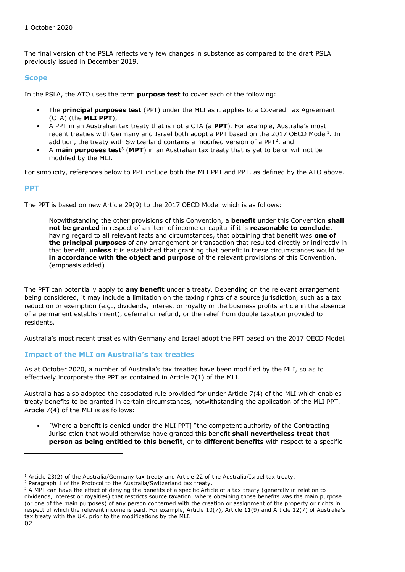The final version of the PSLA reflects very few changes in substance as compared to the draft PSLA previously issued in December 2019.

#### **Scope**

In the PSLA, the ATO uses the term **purpose test** to cover each of the following:

- The **principal purposes test** (PPT) under the MLI as it applies to a Covered Tax Agreement (CTA) (the **MLI PPT**),
- A PPT in an Australian tax treaty that is not a CTA (a **PPT**). For example, Australia's most recent treaties with Germany and Israel both adopt a PPT based on the 2017 OECD Model<sup>1</sup>. In addition, the treaty with Switzerland contains a modified version of a PPT<sup>2</sup>, and
- A main purposes test<sup>3</sup> (MPT) in an Australian tax treaty that is yet to be or will not be modified by the MLI.

For simplicity, references below to PPT include both the MLI PPT and PPT, as defined by the ATO above.

#### **PPT**

The PPT is based on new Article 29(9) to the 2017 OECD Model which is as follows:

Notwithstanding the other provisions of this Convention, a **benefit** under this Convention **shall not be granted** in respect of an item of income or capital if it is **reasonable to conclude**, having regard to all relevant facts and circumstances, that obtaining that benefit was **one of the principal purposes** of any arrangement or transaction that resulted directly or indirectly in that benefit, **unless** it is established that granting that benefit in these circumstances would be **in accordance with the object and purpose** of the relevant provisions of this Convention. (emphasis added)

The PPT can potentially apply to **any benefit** under a treaty. Depending on the relevant arrangement being considered, it may include a limitation on the taxing rights of a source jurisdiction, such as a tax reduction or exemption (e.g., dividends, interest or royalty or the business profits article in the absence of a permanent establishment), deferral or refund, or the relief from double taxation provided to residents.

Australia's most recent treaties with Germany and Israel adopt the PPT based on the 2017 OECD Model.

#### **Impact of the MLI on Australia's tax treaties**

As at October 2020, a number of Australia's tax treaties have been modified by the MLI, so as to effectively incorporate the PPT as contained in Article 7(1) of the MLI.

Australia has also adopted the associated rule provided for under Article 7(4) of the MLI which enables treaty benefits to be granted in certain circumstances, notwithstanding the application of the MLI PPT. Article 7(4) of the MLI is as follows:

[Where a benefit is denied under the MLI PPT] "the competent authority of the Contracting Jurisdiction that would otherwise have granted this benefit **shall nevertheless treat that person as being entitled to this benefit**, or to **different benefits** with respect to a specific

 $1$  Article 23(2) of the Australia/Germany tax treaty and Article 22 of the Australia/Israel tax treaty.

 $2$  Paragraph 1 of the Protocol to the Australia/Switzerland tax treaty.

 $3$  A MPT can have the effect of denying the benefits of a specific Article of a tax treaty (generally in relation to dividends, interest or royalties) that restricts source taxation, where obtaining those benefits was the main purpose (or one of the main purposes) of any person concerned with the creation or assignment of the property or rights in respect of which the relevant income is paid. For example, Article 10(7), Article 11(9) and Article 12(7) of Australia's tax treaty with the UK, prior to the modifications by the MLI.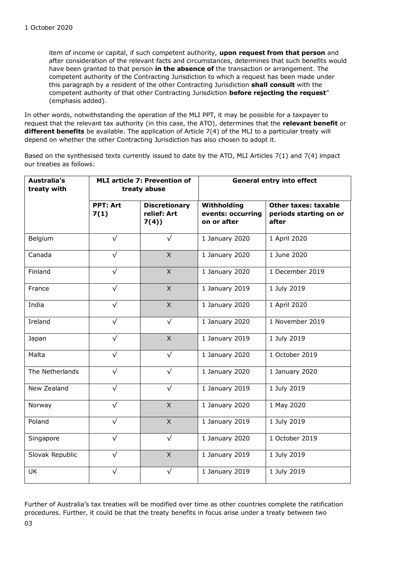item of income or capital, if such competent authority, **upon request from that person** and after consideration of the relevant facts and circumstances, determines that such benefits would have been granted to that person **in the absence of** the transaction or arrangement. The competent authority of the Contracting Jurisdiction to which a request has been made under this paragraph by a resident of the other Contracting Jurisdiction **shall consult** with the competent authority of that other Contracting Jurisdiction **before rejecting the request**" (emphasis added).

In other words, notwithstanding the operation of the MLI PPT, it may be possible for a taxpayer to request that the relevant tax authority (in this case, the ATO), determines that the **relevant benefit** or **different benefits** be available. The application of Article 7(4) of the MLI to a particular treaty will depend on whether the other Contracting Jurisdiction has also chosen to adopt it.

Based on the synthesised texts currently issued to date by the ATO, MLI Articles 7(1) and 7(4) impact our treaties as follows:

| Australia's<br>treaty with | <b>MLI article 7: Prevention of</b><br>treaty abuse |                                             | <b>General entry into effect</b>                |                                                         |
|----------------------------|-----------------------------------------------------|---------------------------------------------|-------------------------------------------------|---------------------------------------------------------|
|                            | <b>PPT: Art</b><br>7(1)                             | <b>Discretionary</b><br>relief: Art<br>7(4) | Withholding<br>events: occurring<br>on or after | Other taxes: taxable<br>periods starting on or<br>after |
| Belgium                    | $\sqrt{}$                                           | $\sqrt{}$                                   | 1 January 2020                                  | 1 April 2020                                            |
| Canada                     | $\sqrt{}$                                           | $\mathsf{X}$                                | 1 January 2020                                  | 1 June 2020                                             |
| Finland                    | $\sqrt{}$                                           | $\mathsf{X}$                                | 1 January 2020                                  | 1 December 2019                                         |
| France                     | $\sqrt{}$                                           | $\mathsf{X}$                                | 1 January 2019                                  | 1 July 2019                                             |
| India                      | $\sqrt{}$                                           | $\mathsf{X}$                                | 1 January 2020                                  | 1 April 2020                                            |
| Ireland                    | $\sqrt{}$                                           | $\sqrt{}$                                   | 1 January 2020                                  | 1 November 2019                                         |
| Japan                      | $\sqrt{}$                                           | $\overline{X}$                              | 1 January 2019                                  | 1 July 2019                                             |
| Malta                      | $\sqrt{}$                                           | $\sqrt{}$                                   | 1 January 2020                                  | 1 October 2019                                          |
| The Netherlands            | $\sqrt{}$                                           | $\sqrt{}$                                   | 1 January 2020                                  | 1 January 2020                                          |
| New Zealand                | $\sqrt{}$                                           | $\sqrt{}$                                   | 1 January 2019                                  | 1 July 2019                                             |
| Norway                     | $\sqrt{}$                                           | $\overline{X}$                              | 1 January 2020                                  | 1 May 2020                                              |
| Poland                     | $\sqrt{}$                                           | $\overline{X}$                              | 1 January 2019                                  | 1 July 2019                                             |
| Singapore                  | $\sqrt{}$                                           | $\sqrt{}$                                   | 1 January 2020                                  | 1 October 2019                                          |
| Slovak Republic            | $\sqrt{}$                                           | $\overline{X}$                              | 1 January 2019                                  | 1 July 2019                                             |
| <b>UK</b>                  | $\sqrt{}$                                           | $\sqrt{}$                                   | 1 January 2019                                  | 1 July 2019                                             |

03 Further of Australia's tax treaties will be modified over time as other countries complete the ratification procedures. Further, it could be that the treaty benefits in focus arise under a treaty between two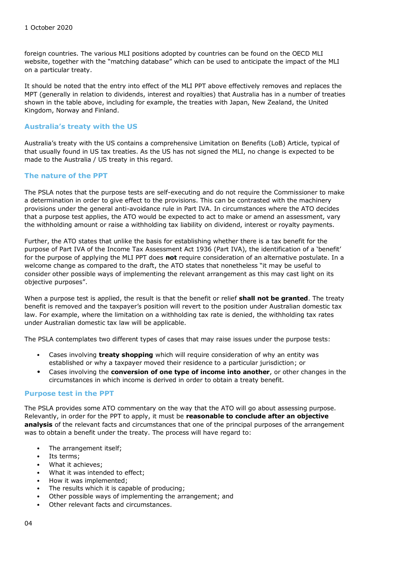foreign countries. The various MLI positions adopted by countries can be found on the OECD MLI website, together with the "matching database" which can be used to anticipate the impact of the MLI on a particular treaty.

It should be noted that the entry into effect of the MLI PPT above effectively removes and replaces the MPT (generally in relation to dividends, interest and royalties) that Australia has in a number of treaties shown in the table above, including for example, the treaties with Japan, New Zealand, the United Kingdom, Norway and Finland.

#### **Australia's treaty with the US**

Australia's treaty with the US contains a comprehensive Limitation on Benefits (LoB) Article, typical of that usually found in US tax treaties. As the US has not signed the MLI, no change is expected to be made to the Australia / US treaty in this regard.

#### **The nature of the PPT**

The PSLA notes that the purpose tests are self-executing and do not require the Commissioner to make a determination in order to give effect to the provisions. This can be contrasted with the machinery provisions under the general anti-avoidance rule in Part IVA. In circumstances where the ATO decides that a purpose test applies, the ATO would be expected to act to make or amend an assessment, vary the withholding amount or raise a withholding tax liability on dividend, interest or royalty payments.

Further, the ATO states that unlike the basis for establishing whether there is a tax benefit for the purpose of Part IVA of the Income Tax Assessment Act 1936 (Part IVA), the identification of a 'benefit' for the purpose of applying the MLI PPT does **not** require consideration of an alternative postulate. In a welcome change as compared to the draft, the ATO states that nonetheless "it may be useful to consider other possible ways of implementing the relevant arrangement as this may cast light on its objective purposes".

When a purpose test is applied, the result is that the benefit or relief **shall not be granted**. The treaty benefit is removed and the taxpayer's position will revert to the position under Australian domestic tax law. For example, where the limitation on a withholding tax rate is denied, the withholding tax rates under Australian domestic tax law will be applicable.

The PSLA contemplates two different types of cases that may raise issues under the purpose tests:

- Cases involving **treaty shopping** which will require consideration of why an entity was established or why a taxpayer moved their residence to a particular jurisdiction; or
- Cases involving the **conversion of one type of income into another**, or other changes in the circumstances in which income is derived in order to obtain a treaty benefit.

#### **Purpose test in the PPT**

The PSLA provides some ATO commentary on the way that the ATO will go about assessing purpose. Relevantly, in order for the PPT to apply, it must be **reasonable to conclude after an objective analysis** of the relevant facts and circumstances that one of the principal purposes of the arrangement was to obtain a benefit under the treaty. The process will have regard to:

- The arrangement itself;
- Its terms:
- What it achieves:
- What it was intended to effect;
- How it was implemented;
- The results which it is capable of producing;
- Other possible ways of implementing the arrangement; and
- Other relevant facts and circumstances.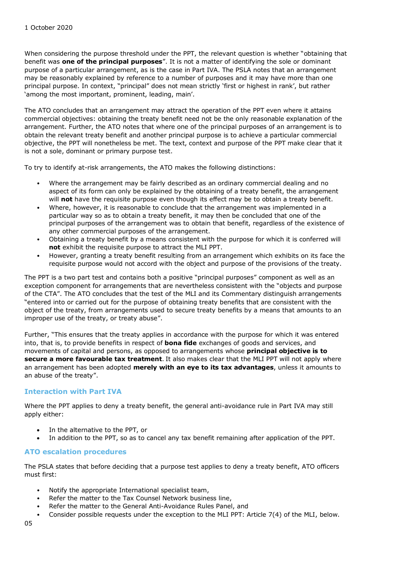When considering the purpose threshold under the PPT, the relevant question is whether "obtaining that benefit was **one of the principal purposes**". It is not a matter of identifying the sole or dominant purpose of a particular arrangement, as is the case in Part IVA. The PSLA notes that an arrangement may be reasonably explained by reference to a number of purposes and it may have more than one principal purpose. In context, "principal" does not mean strictly 'first or highest in rank', but rather 'among the most important, prominent, leading, main'.

The ATO concludes that an arrangement may attract the operation of the PPT even where it attains commercial objectives: obtaining the treaty benefit need not be the only reasonable explanation of the arrangement. Further, the ATO notes that where one of the principal purposes of an arrangement is to obtain the relevant treaty benefit and another principal purpose is to achieve a particular commercial objective, the PPT will nonetheless be met. The text, context and purpose of the PPT make clear that it is not a sole, dominant or primary purpose test.

To try to identify at-risk arrangements, the ATO makes the following distinctions:

- Where the arrangement may be fairly described as an ordinary commercial dealing and no aspect of its form can only be explained by the obtaining of a treaty benefit, the arrangement will **not** have the requisite purpose even though its effect may be to obtain a treaty benefit.
- Where, however, it is reasonable to conclude that the arrangement was implemented in a particular way so as to obtain a treaty benefit, it may then be concluded that one of the principal purposes of the arrangement was to obtain that benefit, regardless of the existence of any other commercial purposes of the arrangement.
- Obtaining a treaty benefit by a means consistent with the purpose for which it is conferred will **not** exhibit the requisite purpose to attract the MLI PPT.
- However, granting a treaty benefit resulting from an arrangement which exhibits on its face the requisite purpose would not accord with the object and purpose of the provisions of the treaty.

The PPT is a two part test and contains both a positive "principal purposes" component as well as an exception component for arrangements that are nevertheless consistent with the "objects and purpose of the CTA". The ATO concludes that the test of the MLI and its Commentary distinguish arrangements "entered into or carried out for the purpose of obtaining treaty benefits that are consistent with the object of the treaty, from arrangements used to secure treaty benefits by a means that amounts to an improper use of the treaty, or treaty abuse".

Further, "This ensures that the treaty applies in accordance with the purpose for which it was entered into, that is, to provide benefits in respect of **bona fide** exchanges of goods and services, and movements of capital and persons, as opposed to arrangements whose **principal objective is to secure a more favourable tax treatment**. It also makes clear that the MLI PPT will not apply where an arrangement has been adopted **merely with an eye to its tax advantages**, unless it amounts to an abuse of the treaty".

#### **Interaction with Part IVA**

Where the PPT applies to deny a treaty benefit, the general anti-avoidance rule in Part IVA may still apply either:

- In the alternative to the PPT, or
- In addition to the PPT, so as to cancel any tax benefit remaining after application of the PPT.

#### **ATO escalation procedures**

The PSLA states that before deciding that a purpose test applies to deny a treaty benefit, ATO officers must first:

- Notify the appropriate International specialist team,
- Refer the matter to the Tax Counsel Network business line,
- Refer the matter to the General Anti-Avoidance Rules Panel, and
- Consider possible requests under the exception to the MLI PPT: Article 7(4) of the MLI, below.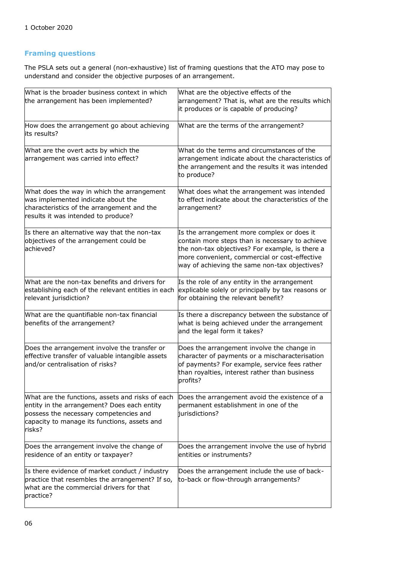### **Framing questions**

The PSLA sets out a general (non-exhaustive) list of framing questions that the ATO may pose to understand and consider the objective purposes of an arrangement.

| What is the broader business context in which<br>the arrangement has been implemented?                                                                                                              | What are the objective effects of the<br>arrangement? That is, what are the results which<br>it produces or is capable of producing?                                                                                                               |  |  |
|-----------------------------------------------------------------------------------------------------------------------------------------------------------------------------------------------------|----------------------------------------------------------------------------------------------------------------------------------------------------------------------------------------------------------------------------------------------------|--|--|
| How does the arrangement go about achieving<br>its results?                                                                                                                                         | What are the terms of the arrangement?                                                                                                                                                                                                             |  |  |
| What are the overt acts by which the<br>arrangement was carried into effect?                                                                                                                        | What do the terms and circumstances of the<br>arrangement indicate about the characteristics of<br>the arrangement and the results it was intended<br>to produce?                                                                                  |  |  |
| What does the way in which the arrangement<br>was implemented indicate about the<br>characteristics of the arrangement and the<br>results it was intended to produce?                               | What does what the arrangement was intended<br>to effect indicate about the characteristics of the<br>arrangement?                                                                                                                                 |  |  |
| Is there an alternative way that the non-tax<br>objectives of the arrangement could be<br>achieved?                                                                                                 | Is the arrangement more complex or does it<br>contain more steps than is necessary to achieve<br>the non-tax objectives? For example, is there a<br>more convenient, commercial or cost-effective<br>way of achieving the same non-tax objectives? |  |  |
| What are the non-tax benefits and drivers for<br>establishing each of the relevant entities in each<br>relevant jurisdiction?                                                                       | Is the role of any entity in the arrangement<br>explicable solely or principally by tax reasons or<br>for obtaining the relevant benefit?                                                                                                          |  |  |
| What are the quantifiable non-tax financial<br>benefits of the arrangement?                                                                                                                         | Is there a discrepancy between the substance of<br>what is being achieved under the arrangement<br>and the legal form it takes?                                                                                                                    |  |  |
| Does the arrangement involve the transfer or<br>effective transfer of valuable intangible assets<br>and/or centralisation of risks?                                                                 | Does the arrangement involve the change in<br>character of payments or a mischaracterisation<br>of payments? For example, service fees rather<br>than royalties, interest rather than business<br>profits?                                         |  |  |
| What are the functions, assets and risks of each<br>entity in the arrangement? Does each entity<br>possess the necessary competencies and<br>capacity to manage its functions, assets and<br>risks? | Does the arrangement avoid the existence of a<br>permanent establishment in one of the<br>jurisdictions?                                                                                                                                           |  |  |
| Does the arrangement involve the change of<br>residence of an entity or taxpayer?                                                                                                                   | Does the arrangement involve the use of hybrid<br>entities or instruments?                                                                                                                                                                         |  |  |
| Is there evidence of market conduct / industry<br>practice that resembles the arrangement? If so,<br>what are the commercial drivers for that<br>practice?                                          | Does the arrangement include the use of back-<br>to-back or flow-through arrangements?                                                                                                                                                             |  |  |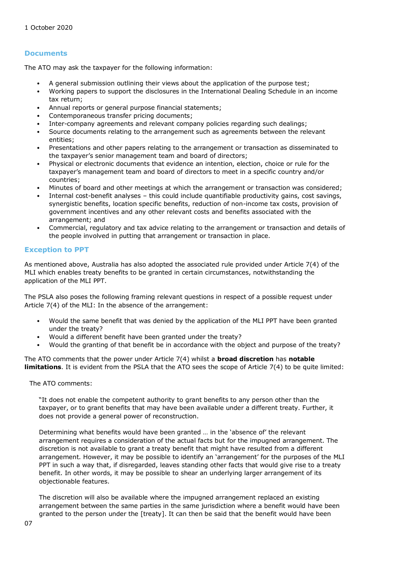#### **Documents**

The ATO may ask the taxpayer for the following information:

- A general submission outlining their views about the application of the purpose test;
- Working papers to support the disclosures in the International Dealing Schedule in an income tax return;
- Annual reports or general purpose financial statements;
- Contemporaneous transfer pricing documents;
- Inter-company agreements and relevant company policies regarding such dealings;
- Source documents relating to the arrangement such as agreements between the relevant entities;
- Presentations and other papers relating to the arrangement or transaction as disseminated to the taxpayer's senior management team and board of directors;
- Physical or electronic documents that evidence an intention, election, choice or rule for the taxpayer's management team and board of directors to meet in a specific country and/or countries;
- Minutes of board and other meetings at which the arrangement or transaction was considered;
- Internal cost-benefit analyses this could include quantifiable productivity gains, cost savings, synergistic benefits, location specific benefits, reduction of non-income tax costs, provision of government incentives and any other relevant costs and benefits associated with the arrangement; and
- Commercial, regulatory and tax advice relating to the arrangement or transaction and details of the people involved in putting that arrangement or transaction in place.

#### **Exception to PPT**

As mentioned above, Australia has also adopted the associated rule provided under Article 7(4) of the MLI which enables treaty benefits to be granted in certain circumstances, notwithstanding the application of the MLI PPT.

The PSLA also poses the following framing relevant questions in respect of a possible request under Article 7(4) of the MLI: In the absence of the arrangement:

- Would the same benefit that was denied by the application of the MLI PPT have been granted under the treaty?
- Would a different benefit have been granted under the treaty?
- Would the granting of that benefit be in accordance with the object and purpose of the treaty?

The ATO comments that the power under Article 7(4) whilst a **broad discretion** has **notable limitations**. It is evident from the PSLA that the ATO sees the scope of Article 7(4) to be quite limited:

The ATO comments:

"It does not enable the competent authority to grant benefits to any person other than the taxpayer, or to grant benefits that may have been available under a different treaty. Further, it does not provide a general power of reconstruction.

Determining what benefits would have been granted … in the 'absence of' the relevant arrangement requires a consideration of the actual facts but for the impugned arrangement. The discretion is not available to grant a treaty benefit that might have resulted from a different arrangement. However, it may be possible to identify an 'arrangement' for the purposes of the MLI PPT in such a way that, if disregarded, leaves standing other facts that would give rise to a treaty benefit. In other words, it may be possible to shear an underlying larger arrangement of its objectionable features.

The discretion will also be available where the impugned arrangement replaced an existing arrangement between the same parties in the same jurisdiction where a benefit would have been granted to the person under the [treaty]. It can then be said that the benefit would have been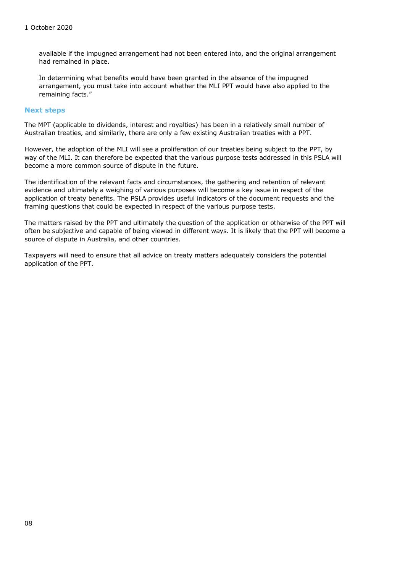available if the impugned arrangement had not been entered into, and the original arrangement had remained in place.

In determining what benefits would have been granted in the absence of the impugned arrangement, you must take into account whether the MLI PPT would have also applied to the remaining facts."

#### **Next steps**

The MPT (applicable to dividends, interest and royalties) has been in a relatively small number of Australian treaties, and similarly, there are only a few existing Australian treaties with a PPT.

However, the adoption of the MLI will see a proliferation of our treaties being subject to the PPT, by way of the MLI. It can therefore be expected that the various purpose tests addressed in this PSLA will become a more common source of dispute in the future.

The identification of the relevant facts and circumstances, the gathering and retention of relevant evidence and ultimately a weighing of various purposes will become a key issue in respect of the application of treaty benefits. The PSLA provides useful indicators of the document requests and the framing questions that could be expected in respect of the various purpose tests.

The matters raised by the PPT and ultimately the question of the application or otherwise of the PPT will often be subjective and capable of being viewed in different ways. It is likely that the PPT will become a source of dispute in Australia, and other countries.

Taxpayers will need to ensure that all advice on treaty matters adequately considers the potential application of the PPT.